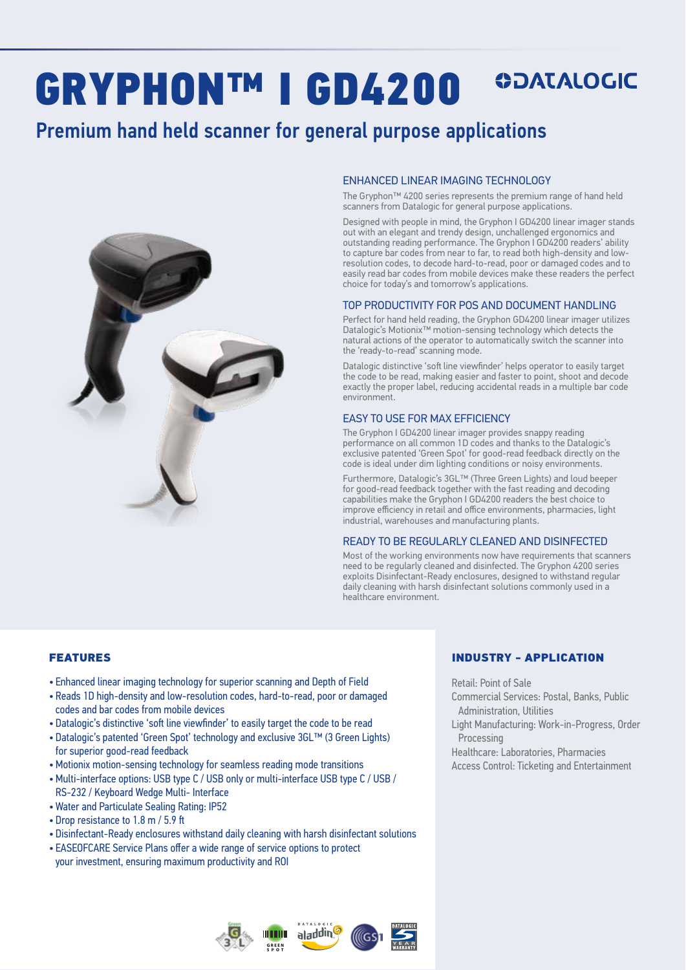# **ODATALOGIC** GRYPHON™ I GD4200

# Premium hand held scanner for general purpose applications



#### ENHANCED LINEAR IMAGING TECHNOLOGY

The Gryphon™ 4200 series represents the premium range of hand held scanners from Datalogic for general purpose applications.

Designed with people in mind, the Gryphon I GD4200 linear imager stands out with an elegant and trendy design, unchallenged ergonomics and outstanding reading performance. The Gryphon I GD4200 readers' ability to capture bar codes from near to far, to read both high-density and lowresolution codes, to decode hard-to-read, poor or damaged codes and to easily read bar codes from mobile devices make these readers the perfect choice for today's and tomorrow's applications.

#### TOP PRODUCTIVITY FOR POS AND DOCUMENT HANDLING

Perfect for hand held reading, the Gryphon GD4200 linear imager utilizes Datalogic's Motionix™ motion-sensing technology which detects the natural actions of the operator to automatically switch the scanner into the 'ready-to-read' scanning mode.

Datalogic distinctive 'soft line viewfinder' helps operator to easily target the code to be read, making easier and faster to point, shoot and decode exactly the proper label, reducing accidental reads in a multiple bar code environment.

#### EASY TO USE FOR MAX EFFICIENCY

The Gryphon I GD4200 linear imager provides snappy reading performance on all common 1D codes and thanks to the Datalogic's exclusive patented 'Green Spot' for good-read feedback directly on the code is ideal under dim lighting conditions or noisy environments.

Furthermore, Datalogic's 3GL™ (Three Green Lights) and loud beeper for good-read feedback together with the fast reading and decoding capabilities make the Gryphon I GD4200 readers the best choice to improve efficiency in retail and office environments, pharmacies, light industrial, warehouses and manufacturing plants.

#### READY TO BE REGULARLY CLEANED AND DISINFECTED

Most of the working environments now have requirements that scanners need to be regularly cleaned and disinfected. The Gryphon 4200 series exploits Disinfectant-Ready enclosures, designed to withstand regular daily cleaning with harsh disinfectant solutions commonly used in a healthcare environment.

#### FEATURES

- Enhanced linear imaging technology for superior scanning and Depth of Field
- Reads 1D high-density and low-resolution codes, hard-to-read, poor or damaged codes and bar codes from mobile devices
- Datalogic's distinctive 'soft line viewfinder' to easily target the code to be read
- Datalogic's patented 'Green Spot' technology and exclusive 3GL™ (3 Green Lights) for superior good-read feedback
- •Motionix motion-sensing technology for seamless reading mode transitions
- •Multi-interface options: USB type C / USB only or multi-interface USB type C / USB / RS-232 / Keyboard Wedge Multi- Interface
- Water and Particulate Sealing Rating: IP52
- Drop resistance to 1.8 m / 5.9 ft
- Disinfectant-Ready enclosures withstand daily cleaning with harsh disinfectant solutions
- EASEOFCARE Service Plans offer a wide range of service options to protect your investment, ensuring maximum productivity and ROI





#### INDUSTRY - APPLICATION

Retail: Point of Sale

- Commercial Services: Postal, Banks, Public Administration, Utilities
- Light Manufacturing: Work-in-Progress, Order Processing

Healthcare: Laboratories, Pharmacies Access Control: Ticketing and Entertainment